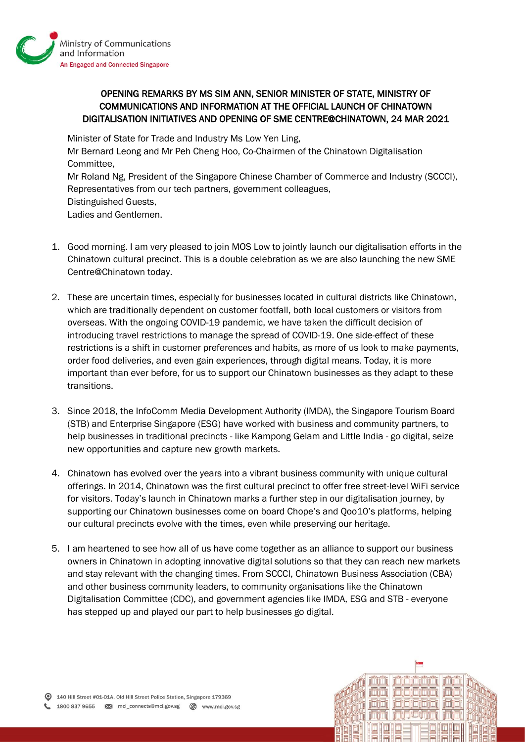

OPENING REMARKS BY MS SIM ANN, SENIOR MINISTER OF STATE, MINISTRY OF COMMUNICATIONS AND INFORMATION AT THE OFFICIAL LAUNCH OF CHINATOWN DIGITALISATION INITIATIVES AND OPENING OF SME CENTRE@CHINATOWN, 24 MAR 2021

Minister of State for Trade and Industry Ms Low Yen Ling,

Mr Bernard Leong and Mr Peh Cheng Hoo, Co-Chairmen of the Chinatown Digitalisation Committee,

Mr Roland Ng, President of the Singapore Chinese Chamber of Commerce and Industry (SCCCI), Representatives from our tech partners, government colleagues, Distinguished Guests, Ladies and Gentlemen.

- 1. Good morning. I am very pleased to join MOS Low to jointly launch our digitalisation efforts in the Chinatown cultural precinct. This is a double celebration as we are also launching the new SME Centre@Chinatown today.
- 2. These are uncertain times, especially for businesses located in cultural districts like Chinatown, which are traditionally dependent on customer footfall, both local customers or visitors from overseas. With the ongoing COVID-19 pandemic, we have taken the difficult decision of introducing travel restrictions to manage the spread of COVID-19. One side-effect of these restrictions is a shift in customer preferences and habits, as more of us look to make payments, order food deliveries, and even gain experiences, through digital means. Today, it is more important than ever before, for us to support our Chinatown businesses as they adapt to these transitions.
- 3. Since 2018, the InfoComm Media Development Authority (IMDA), the Singapore Tourism Board (STB) and Enterprise Singapore (ESG) have worked with business and community partners, to help businesses in traditional precincts - like Kampong Gelam and Little India - go digital, seize new opportunities and capture new growth markets.
- 4. Chinatown has evolved over the years into a vibrant business community with unique cultural offerings. In 2014, Chinatown was the first cultural precinct to offer free street-level WiFi service for visitors. Today's launch in Chinatown marks a further step in our digitalisation journey, by supporting our Chinatown businesses come on board Chope's and Qoo10's platforms, helping our cultural precincts evolve with the times, even while preserving our heritage.
- 5. I am heartened to see how all of us have come together as an alliance to support our business owners in Chinatown in adopting innovative digital solutions so that they can reach new markets and stay relevant with the changing times. From SCCCI, Chinatown Business Association (CBA) and other business community leaders, to community organisations like the Chinatown Digitalisation Committee (CDC), and government agencies like IMDA, ESG and STB - everyone has stepped up and played our part to help businesses go digital.